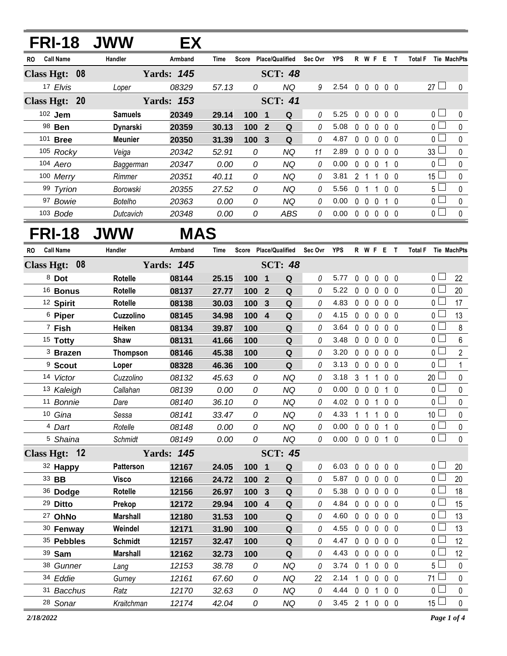|               | <b>FRI-18</b>         | <b>JWW</b>        | EX.               |                |                       |                         |                        |             |                |              |                   |              |                |           |                               |                 |
|---------------|-----------------------|-------------------|-------------------|----------------|-----------------------|-------------------------|------------------------|-------------|----------------|--------------|-------------------|--------------|----------------|-----------|-------------------------------|-----------------|
| RO.           | <b>Call Name</b>      | Handler           | Armband           | <b>Time</b>    | Score Place/Qualified |                         |                        | Sec Ovr YPS |                |              |                   |              | <b>RWFET</b>   |           | Total F Tie MachPts           |                 |
| Class Hgt: 08 |                       |                   | <b>Yards: 145</b> |                |                       |                         | <b>SCT: 48</b>         |             |                |              |                   |              |                |           |                               |                 |
|               | 17 Elvis              | Loper             | 08329             | 57.13          | 0                     |                         | NQ                     | 9           | 2.54           |              |                   |              | 00000          |           | $27 \Box$                     | 0               |
| Class Hgt: 20 |                       |                   | <b>Yards: 153</b> |                |                       |                         | <b>SCT: 41</b>         |             |                |              |                   |              |                |           |                               |                 |
| 102 Jem       |                       | <b>Samuels</b>    | 20349             | 29.14          | 100                   | $\overline{\mathbf{1}}$ | Q                      | 0           | 5.25           | $\mathbf{0}$ | $\mathbf{0}$      | 0            | 0 <sub>0</sub> |           | 0 <sup>1</sup>                | 0               |
|               | 98 Ben                | Dynarski          | 20359             | 30.13          | 100                   | $\overline{2}$          | $\mathbf Q$            | 0           | 5.08           | 0            | $\mathbf 0$       | 0            | $\mathbf{0}$   | 0         | 0 <sup>1</sup>                | $\mathbf 0$     |
|               | 101 <b>Bree</b>       | <b>Meunier</b>    | 20350             | 31.39          | 100                   | 3                       | Q                      | 0           | 4.87           | $\mathbf 0$  | $\overline{0}$    | $\mathbf{0}$ | $\mathbf 0$    | - 0       | 0 l                           | $\mathbf 0$     |
|               | 105 Rocky             | Veiga             | 20342             | 52.91          | 0                     |                         | <b>NQ</b>              | 11          | 2.89           | $\mathbf{0}$ | $\overline{0}$    | $\mathbf{0}$ | $\mathbf 0$    | - 0       | 33 <sup>1</sup>               | $\mathbf 0$     |
|               | 104 Aero              | Baggerman         | 20347             | 0.00           | 0                     |                         | <b>NQ</b>              | 0           | 0.00           | 0            | $\mathbf 0$       | 0            |                | $1\quad0$ | 0 l                           | $\mathbf 0$     |
|               | 100 Merry             | Rimmer            | 20351             | 40.11          | 0                     |                         | <b>NQ</b>              | 0           | 3.81           |              | 2 <sub>1</sub>    |              | $\mathbf{0}$   | - 0       | 15 <sup>1</sup>               | $\mathbf 0$     |
|               | 99 Tyrion             | <b>Borowski</b>   | 20355             | 27.52          | 0                     |                         | <b>NQ</b>              | 0           | 5.56           | $\mathbf 0$  | $\overline{1}$    | 1            | $\mathbf{0}$   | $\Omega$  | 5 <sup>1</sup>                | $\mathbf 0$     |
|               | 97 Bowie              | <b>Botelho</b>    | 20363             | 0.00           | 0                     |                         | <b>NQ</b>              | 0           | 0.00           | $\mathbf 0$  | $\mathbf 0$       | $\mathbf{0}$ | $1\quad0$      |           | 0 <sub>1</sub>                | $\mathbf 0$     |
|               | $103$ Bode            | Dutcavich         | 20348             | 0.00           | 0                     |                         | <b>ABS</b>             | 0           | 0.00           |              | $0\quad 0$        | 0            | $0\quad 0$     |           | 0 L                           | 0               |
|               |                       | <b>FRI-18 JWW</b> | <b>MAS</b>        |                |                       |                         |                        |             |                |              |                   |              |                |           |                               |                 |
| RO            | <b>Call Name</b>      | Handler           | Armband           | <b>Time</b>    | Score Place/Qualified |                         |                        | Sec Ovr YPS |                |              |                   |              | R W F E T      |           | <b>Total F</b><br>Tie MachPts |                 |
| Class Hgt: 08 |                       |                   | <b>Yards: 145</b> |                |                       |                         | <b>SCT: 48</b>         |             |                |              |                   |              |                |           |                               |                 |
|               | 8 Dot                 | <b>Rotelle</b>    | 08144             | 25.15          | 100                   | $\mathbf{1}$            | Q                      | 0           | 5.77           | 0            | $\mathbf 0$       | 0            | 0 <sub>0</sub> |           | 0 <sup>1</sup>                | 22              |
|               | <sup>16</sup> Bonus   | <b>Rotelle</b>    | 08137             | 27.77          | 100 <sub>1</sub>      | $\overline{2}$          | Q                      | 0           | 5.22           | 0            | $\overline{0}$    | $\mathbf{0}$ | 0 <sub>0</sub> |           | $\overline{0}$                | 20              |
|               | <sup>12</sup> Spirit  | Rotelle           | 08138             | 30.03          | 100                   | 3                       | Q                      | 0           | 4.83           | $\mathbf 0$  | $\mathbf 0$       | $\mathbf{0}$ | 0 <sub>0</sub> |           | 0 <sup>1</sup>                | 17              |
|               | <sup>6</sup> Piper    | Cuzzolino         | 08145             | 34.98          | 100                   | $\overline{4}$          | Q                      | 0           | 4.15           | 0            | $\mathbf 0$       | 0            | 0 <sub>0</sub> |           | 0 <sub>l</sub>                | 13              |
|               | 7 Fish                | Heiken            | 08134             | 39.87          | 100                   |                         | Q                      | 0           | 3.64           | $\mathbf{0}$ | $\mathbf 0$       | $\mathbf{0}$ | $\mathbf 0$    | - 0       | 0 l                           | 8               |
|               | <sup>15</sup> Totty   | Shaw              | 08131             | 41.66          | 100                   |                         | Q                      | 0           | 3.48           | $\mathbf{0}$ | $\mathbf 0$       | $\mathbf{0}$ | 0 <sub>0</sub> |           | 0 <sub>0</sub>                | 6               |
|               | <sup>3</sup> Brazen   | Thompson          | 08146             | 45.38          | 100                   |                         | ${\bf Q}$              | 0           | 3.20           | 0            | $\mathbf 0$       | $\mathbf{0}$ | 0 <sub>0</sub> |           | 0 l                           | $\mathbf{2}$    |
|               | <sup>9</sup> Scout    | Loper             | 08328             | 46.36          | 100                   |                         | Q                      | 0           | 3.13           | 0            | $\mathbf 0$       | $\mathbf{0}$ | 0 <sub>0</sub> |           | 0 <sub>0</sub>                | $\mathbf{1}$    |
|               | 14 Victor             | Cuzzolino         | 08132             | 45.63          | 0                     |                         | <b>NQ</b>              | 0           | 3.18           | 3            | $\mathbf{1}$      | 1            | $\mathbf{0}$   | - 0       | 20                            | 0               |
|               | 13 Kaleigh            | Callahan          | 08139             | 0.00           | 0                     |                         | <b>NQ</b>              | 0           | 0.00           | $\mathbf 0$  | $0\quad 0$        |              | $1\quad0$      |           | 0 <sub>1</sub>                | $\mathbf 0$     |
|               | 11 Bonnie             | Dare              | 08140             | 36.10          | 0                     |                         | <b>NQ</b>              | 0           | 4.02           | 0 0 1        |                   |              | 0 <sub>0</sub> |           | $\overline{0}$                | 0               |
|               | 10 Gina               | Sessa             | 08141             | 33.47          | 0                     |                         | NQ                     | 0           | 4.33           | 1            | $\mathbf{1}$      | $\mathbf{1}$ | 0 <sub>0</sub> |           | 10 <sup>2</sup>               | 0               |
|               | <sup>4</sup> Dart     | Rotelle           | 08148             | 0.00           | 0                     |                         | NQ                     | 0           | 0.00           |              | $0\quad 0\quad 0$ |              | $1\quad0$      |           | 0 <sub>0</sub>                | 0               |
|               | <sup>5</sup> Shaina   | Schmidt           | 08149             | 0.00           | 0                     |                         | NQ                     | 0           | 0.00 0 0 0 1 0 |              |                   |              |                |           | 0 <sub>1</sub>                | $\mathbf 0$     |
|               | Class Hgt: 12         |                   | <b>Yards: 145</b> |                |                       |                         | <b>SCT: 45</b>         |             |                |              |                   |              |                |           |                               |                 |
|               | 32 Happy              | <b>Patterson</b>  | 12167             | 24.05          | 100 1                 |                         | Q                      | 0           | 6.03           |              |                   |              | 00000          |           | $0-$                          | 20              |
| 33 BB         |                       | <b>Visco</b>      | 12166             | 24.72          | 100 <sub>2</sub>      |                         | $\mathbf Q$            | 0           | 5.87           |              |                   |              | 00000          |           | 0 <sup>1</sup>                | 20              |
|               | 36 Dodge              | <b>Rotelle</b>    | 12156             | 26.97          | 100                   | $\mathbf{3}$            | $\mathbf Q$            | 0           | 5.38           |              | $0\quad 0\quad 0$ |              | $0\quad 0$     |           | 0 <sub>0</sub>                | 18              |
|               | <sup>29</sup> Ditto   | Prekop            | 12172             | 29.94          | 100 4                 |                         | ${\bf Q}$              | 0           | 4.84           |              |                   |              | 00000          |           | 0 <sub>l</sub>                | 15              |
|               | <sup>27</sup> OhNo    | <b>Marshall</b>   | 12180             | 31.53          | 100                   |                         | Q                      | 0           | 4.60           |              | $0\quad 0$        | $\mathbf 0$  | 0 <sub>0</sub> |           | $0-$                          | 13              |
|               | 30 Fenway             | Weindel           | 12171             | 31.90          | 100                   |                         | Q                      | 0           | 4.55           |              | $0\quad 0\quad 0$ |              | $0\quad 0$     |           | 0 <sup>1</sup>                | 13              |
|               | 35 Pebbles            | <b>Schmidt</b>    | 12157             | 32.47          | 100                   |                         | ${\bf Q}$              | 0           | 4.47           |              | $0\quad 0\quad 0$ |              | 0 <sub>0</sub> |           | 0 l                           | 12              |
|               | 39 Sam                | <b>Marshall</b>   | 12162             | 32.73          | 100                   |                         | Q                      | 0           | 4.43<br>3.74   |              | 0 <sub>1</sub>    | $\mathbf 0$  | 00000          |           | 0 <sup>1</sup><br>$5 -$       | 12<br>$\pmb{0}$ |
|               | 38 Gunner<br>34 Eddie | Lang              | 12153<br>12161    | 38.78<br>67.60 | 0<br>0                |                         | <b>NQ</b><br><b>NQ</b> | 0<br>22     | 2.14 1 0 0 0 0 |              |                   |              | $0\quad 0$     |           | $71 \Box$                     | 0               |
|               | 31 Bacchus            | Gurney<br>Ratz    | 12170             | 32.63          | 0                     |                         | <b>NQ</b>              | 0           | 4.44           |              | $0 \t0 \t1$       |              | $0\quad 0$     |           | 0 <sub>0</sub>                | 0               |
|               | 28 Sonar              | Kraitchman        | 12174             | 42.04          | 0                     |                         | NQ                     | 0           | 3.45 2 1 0 0 0 |              |                   |              |                |           | $15\perp$                     | $\pmb{0}$       |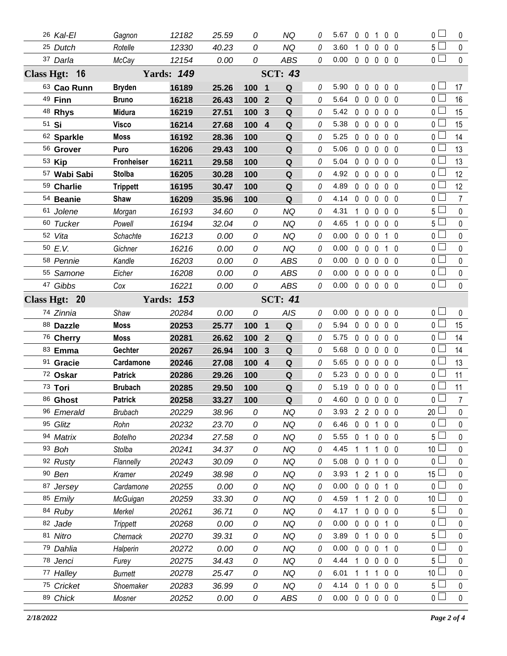| 26 Kal-El              | Gagnon              | 12182             | 25.59         | 0                     | ΝQ               |          | 5.67           | $\mathbf{0}$               | - 0                     | 1                | 0 <sub>0</sub>               | 0                                | 0                      |
|------------------------|---------------------|-------------------|---------------|-----------------------|------------------|----------|----------------|----------------------------|-------------------------|------------------|------------------------------|----------------------------------|------------------------|
| 25 Dutch               | Rotelle             | 12330             | 40.23         | 0                     | <b>NQ</b>        | 0        | 3.60           | 1                          | $\mathbf 0$             | $\mathbf{0}$     | $0\quad 0$                   | $5 \Box$                         | $\mathbf 0$            |
| 37 Darla               | McCay               | 12154             | 0.00          | 0                     | <b>ABS</b>       | 0        | 0.00           |                            |                         |                  | 00000                        | 0 <sub>l</sub>                   | $\mathbf 0$            |
| Class Hgt: 16          | <b>Yards: 149</b>   |                   |               | <b>SCT: 43</b>        |                  |          |                |                            |                         |                  |                              |                                  |                        |
| 63 Cao Runn            | <b>Bryden</b>       | 16189             | 25.26         | 100 1                 | Q                | 0        | 5.90           | $0\quad 0$                 |                         | $\mathbf 0$      | $0\quad 0$                   | 0 <sup>2</sup>                   | 17                     |
| 49 Finn                | <b>Bruno</b>        | 16218             | 26.43         | 100<br>$\mathbf{2}$   | Q                | 0        | 5.64           | $0\quad 0$                 |                         | 0                | 0 <sub>0</sub>               | 0 <sub>1</sub>                   | 16                     |
| 48 Rhys                | <b>Midura</b>       | 16219             | 27.51         | 100<br>$\mathbf{3}$   | Q                | $\theta$ | 5.42           | $0\quad 0$                 |                         | 0                | $0\quad 0$                   | 0 <sup>2</sup>                   | 15                     |
| 51 Si                  | <b>Visco</b>        | 16214             | 27.68         | 100 4                 | Q                | 0        | 5.38           | $0\quad 0$                 |                         | $\mathbf{0}$     | 0 <sub>0</sub>               | 0 <sub>0</sub>                   | 15                     |
| 62 Sparkle             | <b>Moss</b>         | 16192             | 28.36         | 100                   | Q                | 0        | 5.25           | $\mathbf 0$                | $\mathbf 0$             | $\mathbf{0}$     | 0 <sub>0</sub>               | 0 <sub>1</sub>                   | 14                     |
| 56 Grover              | Puro                | 16206             | 29.43         | 100                   | Q                | 0        | 5.06           | $0\quad 0$                 |                         | $\mathbf{0}$     | 0 <sub>0</sub>               | 0 l                              | 13                     |
| 53 Kip                 | <b>Fronheiser</b>   | 16211             | 29.58         | 100                   | Q                | 0        | 5.04           | $0\quad 0$                 |                         | $\mathbf{0}$     | 0 <sub>0</sub>               | 0 l                              | 13                     |
| 57 Wabi Sabi           | <b>Stolba</b>       | 16205             | 30.28         | 100                   | Q                | 0        | 4.92           | $0\quad 0$                 |                         | $\mathbf{0}$     | 0 <sub>0</sub>               | 0 l                              | 12                     |
| 59 Charlie             | <b>Trippett</b>     | 16195             | 30.47         | 100                   | ${\bf Q}$        | 0        | 4.89           | $0\quad 0$                 |                         | $\mathbf 0$      | 0 <sub>0</sub>               | 0 <sub>0</sub>                   | 12                     |
| 54 Beanie              | Shaw                | 16209             | 35.96         | 100                   | Q                | 0        | 4.14           | $0\quad 0$                 |                         | $\mathbf 0$      | 0 <sub>0</sub>               | 0 <sub>1</sub>                   | $\overline{7}$         |
| 61 Jolene              | Morgan              | 16193             | 34.60         | 0                     | <b>NQ</b>        | 0        | 4.31           | $\mathbf{1}$               | $\mathbf 0$             | $\mathbf{0}$     | 0 <sub>0</sub>               | $5-$                             | $\mathbf 0$            |
| 60 Tucker              | Powell              | 16194             | 32.04         | 0                     | <b>NQ</b>        | 0        | 4.65           | 1.                         | $\mathbf 0$             | $\mathbf{0}$     | $0\quad 0$                   | $5-$                             | $\mathbf 0$            |
| 52 Vita                | Schachte            | 16213             | 0.00          | 0                     | <b>NQ</b>        | 0        | 0.00           | $\mathbf 0$                | $\overline{0}$          | $\mathbf 0$      | $1\quad0$                    | 0 L                              | $\mathbf 0$            |
| 50 E.V.                | Gichner             | 16216             | 0.00          | 0                     | <b>NQ</b>        | 0        | 0.00           | $0\quad 0$                 |                         | $\mathbf{0}$     | -0<br>$\mathbf{1}$           | 0 l                              | $\mathbf 0$            |
| 58 Pennie              | Kandle              | 16203             | 0.00          | 0                     | <b>ABS</b>       | 0        | 0.00           | $0\quad 0$                 |                         | $\mathbf{0}$     | 0 <sub>0</sub>               | 0 L                              | $\mathbf 0$            |
| 55 Samone              | Eicher              | 16208             | 0.00          | 0                     | <b>ABS</b>       | 0        | 0.00           | $0\quad 0$                 |                         | $\mathbf{0}$     | 0 <sub>0</sub>               | 0 <sub>0</sub>                   | $\mathbf 0$            |
| 47 Gibbs               | Cox                 | 16221             | 0.00          | 0                     | ABS              | 0        | 0.00           |                            | $0\quad 0\quad 0$       |                  | 0 <sub>0</sub>               | $\overline{0}$                   | $\mathbf 0$            |
| Class Hgt: 20          |                     | <b>Yards: 153</b> |               |                       | <b>SCT: 41</b>   |          |                |                            |                         |                  |                              |                                  |                        |
| 74 Zinnia              | Shaw                | 20284             | 0.00          | 0                     | <b>AIS</b>       | 0        | 0.00           | $\mathbf{0}$               | $\overline{0}$          | 0                | $0\quad 0$                   | 0 <sup>2</sup>                   | 0                      |
|                        |                     |                   |               |                       |                  |          |                |                            |                         |                  |                              |                                  |                        |
| 88 Dazzle              | <b>Moss</b>         | 20253             | 25.77         | 100 1                 | $\mathbf Q$      | 0        | 5.94           | $0\quad 0$                 |                         | $\mathbf 0$      | 0 <sub>0</sub>               | 0 <sub>0</sub>                   | 15                     |
| 76 Cherry              | <b>Moss</b>         | 20281             | 26.62         | 100<br>$\overline{2}$ | ${\bf Q}$        | 0        | 5.75           | $0\quad 0$                 |                         | $\mathbf 0$      | 0 <sub>0</sub>               | 0 <sub>0</sub>                   | 14                     |
| 83 Emma                | Gechter             | 20267             | 26.94         | 100<br>$\mathbf{3}$   | Q                | 0        | 5.68           | $0\quad 0$                 |                         | $\mathbf 0$      | 0 <sub>0</sub>               | 0 L                              | 14                     |
| 91 Gracie              | Cardamone           | 20246             | 27.08         | 100 4                 | ${\bf Q}$        | 0        | 5.65           | 0 <sub>0</sub>             |                         | $\mathbf{0}$     | 0 <sub>0</sub>               | 0 <sub>0</sub>                   | 13                     |
| 72 Oskar               | <b>Patrick</b>      | 20286             | 29.26         | 100                   | Q                | 0        | 5.23           | $\mathbf 0$                | $\mathbf 0$             | $\mathbf 0$      | $0\quad 0$                   | 0 l                              | 11                     |
| 73 Tori                | <b>Brubach</b>      | 20285             | 29.50         | 100                   | $\mathbf Q$      | 0        | 5.19           | $0\quad 0$                 |                         | $\mathbf 0$      | $0\quad 0$                   | $\mathbf 0$                      | 11                     |
| 86 Ghost               | <b>Patrick</b>      | 20258             | 33.27         | 100                   | $\mathbf Q$      | 0        | 4.60 0 0 0 0 0 |                            |                         |                  |                              | 0                                | 7 <sup>7</sup>         |
| 96 Emerald             | <b>Brubach</b>      | 20229             | 38.96         | 0                     | NQ               | 0        | 3.93           |                            | 220                     |                  | $0\quad 0$                   | 20                               | 0                      |
| 95 Glitz               | Rohn                | 20232             | 23.70         | 0                     | <b>NQ</b>        | 0        | 6.46           | $0\quad 0$                 |                         | $\overline{1}$   | 0 <sub>0</sub>               | $\mathbf 0$                      | 0                      |
| 94 Matrix              | <b>Botelho</b>      | 20234             | 27.58         | 0                     | NQ               | 0        | 5.55           | 0                          | $\overline{1}$          | $\mathbf 0$      | $0\quad 0$                   | 5                                | 0                      |
| 93 Boh                 | Stolba              | 20241             | 34.37         | 0                     | <b>NQ</b>        | 0        | 4.45           | 1                          | -1                      | 1                | $0\quad 0$                   | 10 <sup>1</sup>                  | 0                      |
| 92 Rusty               | Flannelly           | 20243             | 30.09         | 0                     | <b>NQ</b>        | 0        | 5.08           | 0                          | $\overline{\mathbf{0}}$ | 1                | $0\quad 0$                   | 0                                | 0                      |
| 90 Ben                 | Kramer              | 20249             | 38.98         | 0                     | <b>NQ</b>        | 0        | 3.93           | 1.                         | $\overline{2}$          | 1                | $0\quad 0$                   | 15                               | 0                      |
| 87 Jersey              | Cardamone           | 20255             | 0.00          | 0                     | NQ               | 0        | 0.00           | $\mathbf{0}$               | $\mathbf 0$             | 0                | $1\quad0$                    | $\mathbf 0$                      | 0                      |
| 85 Emily               | McGuigan            | 20259             | 33.30         | 0                     | <b>NQ</b>        | 0        | 4.59           |                            | 1                       | $\overline{2}$   | $0\quad 0$                   | 10 <sup>1</sup>                  | 0                      |
| 84 Ruby                | Merkel              | 20261             | 36.71         | 0                     | <b>NQ</b>        | 0        | 4.17           | $1\quad0$                  |                         | $\mathbf 0$      | $0\quad 0$                   | $5\perp$                         | 0                      |
| 82 Jade                | Trippett            | 20268             | 0.00          | 0                     | <b>NQ</b>        | 0        | 0.00           | $0\quad 0$                 |                         | $\mathbf 0$      | $1\quad0$                    | $\mathbf 0$                      | 0                      |
| 81 Nitro               | Chernack            | 20270             | 39.31         | 0                     | <b>NQ</b>        | 0        | 3.89           | 0                          | -1                      | 0                | $0\quad 0$                   | 5 l                              | 0                      |
| 79 Dahlia              | Halperin            | 20272             | 0.00          | 0                     | <b>NQ</b>        | 0        | 0.00           | $0\quad 0$                 |                         | $\mathbf{0}$     | $1\quad0$                    | $\mathbf 0$                      | $\mathbf{0}$           |
| 78 Jenci               | Furey               | 20275             | 34.43         | 0                     | NQ               | 0        | 4.44           |                            | $\mathbf 0$             | 0                | $0\quad 0$                   | 5                                | $\pmb{0}$              |
| 77 Halley              | <b>Burnett</b>      | 20278             | 25.47         | 0                     | <b>NQ</b>        | 0        | 6.01           |                            | -1                      | 1                | 0 <sub>0</sub>               | 10                               | $\mathbf{0}$           |
| 75 Cricket<br>89 Chick | Shoemaker<br>Mosner | 20283<br>20252    | 36.99<br>0.00 | 0<br>0                | <b>NQ</b><br>ABS | 0<br>0   | 4.14<br>0.00   | $\mathbf{0}$<br>$0\quad 0$ | $\overline{1}$          | 0<br>$\mathbf 0$ | 0 <sub>0</sub><br>$0\quad 0$ | 5 <sub>1</sub><br>0 <sub>0</sub> | $\pmb{0}$<br>$\pmb{0}$ |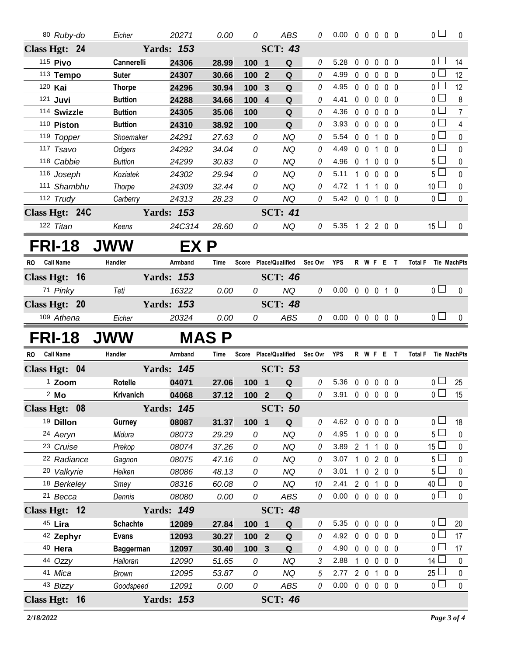|           | 80 Ruby-do             | Eicher                    | 20271             | 0.00          | 0      | ABS                          | 0        | $0.00 \t0 \t0 \t0 \t0 \t0$ |                |             |                               |                     | 0 <sub>0</sub>                    | $\pmb{0}$              |
|-----------|------------------------|---------------------------|-------------------|---------------|--------|------------------------------|----------|----------------------------|----------------|-------------|-------------------------------|---------------------|-----------------------------------|------------------------|
|           | Class Hgt: 24          |                           | <b>Yards: 153</b> |               |        | <b>SCT: 43</b>               |          |                            |                |             |                               |                     |                                   |                        |
|           | 115 <b>Pivo</b>        | Cannerelli                | 24306             | 28.99         | 100    | $\overline{\mathbf{1}}$<br>Q | 0        | 5.28                       | $\mathbf 0$    | $\mathbf 0$ | $\mathbf 0$                   | $0\quad 0$          | 0 <sub>1</sub>                    | 14                     |
|           | 113 Tempo              | <b>Suter</b>              | 24307             | 30.66         | 100    | ${\bf Q}$<br>$\overline{2}$  | 0        | 4.99                       | $0\quad 0$     |             | $\mathbf 0$                   | $0\quad 0$          | 0 <sub>0</sub>                    | 12                     |
|           | 120 Kai                | <b>Thorpe</b>             | 24296             | 30.94         | 100    | $\mathbf Q$<br>$\mathbf{3}$  | 0        | 4.95                       |                | $0\quad 0$  |                               | $0\quad 0\quad 0$   | 0 <sup>1</sup>                    | 12                     |
|           | 121 Juvi               | <b>Buttion</b>            | 24288             | 34.66         | 100    | $\overline{4}$<br>Q          | 0        | 4.41                       |                |             |                               | 00000               | 0 <sub>0</sub>                    | 8                      |
|           | 114 Swizzle            | <b>Buttion</b>            | 24305             | 35.06         | 100    | $\mathbf Q$                  | 0        | 4.36                       |                |             |                               | 00000               | 0 <sub>1</sub>                    | $\overline{7}$         |
|           | 110 Piston             | <b>Buttion</b>            | 24310             | 38.92         | 100    | Q                            | 0        | 3.93                       |                |             |                               | 00000               | 0 <sub>1</sub>                    | $\overline{4}$         |
|           | 119 Topper             | Shoemaker                 | 24291             | 27.63         | 0      | <b>NQ</b>                    | 0        | 5.54                       |                | $0\quad 0$  |                               | 1 0 0               | 0 <sub>0</sub>                    | $\pmb{0}$              |
|           | 117 Tsavo              | Odgers                    | 24292             | 34.04         | 0      | <b>NQ</b>                    | 0        | 4.49                       |                | $0 \t0 \t1$ |                               | $0\quad 0$          | 0 <sub>1</sub>                    | 0                      |
|           | 118 Cabbie             | <b>Buttion</b>            | 24299             | 30.83         | 0      | <b>NQ</b>                    | 0        | 4.96                       |                |             |                               | 0 1 0 0 0           | 5 <sub>1</sub>                    | $\pmb{0}$              |
|           | 116 Joseph             | Koziatek                  | 24302             | 29.94         | 0      | <b>NQ</b>                    | 0        | 5.11                       |                |             |                               | 1 0 0 0 0           | 5 l                               | 0                      |
|           | 111 Shambhu            | Thorpe                    | 24309             | 32.44         | 0      | <b>NQ</b>                    | 0        | 4.72                       |                |             |                               | 1 1 1 0 0           | 10 <sup>1</sup><br>0 <sub>0</sub> | 0                      |
|           | 112 Trudy              | Carberry                  | 24313             | 28.23         | 0      | <b>NQ</b>                    | 0        | 5.42 0 0 1 0 0             |                |             |                               |                     |                                   | $\mathbf 0$            |
|           | Class Hgt: 24C         |                           | <b>Yards: 153</b> |               |        | <b>SCT: 41</b>               |          |                            |                |             |                               |                     |                                   |                        |
|           | 122 Titan              | Keens                     | 24C314            | 28.60         | 0      | NQ                           | 0        | 5.35 1 2 2 0 0             |                |             |                               |                     | $15 \Box$                         | 0                      |
|           | <b>FRI-18</b>          | <b>JWW</b>                | EX P              |               |        |                              |          |                            |                |             |                               |                     |                                   |                        |
| <b>RO</b> | <b>Call Name</b>       | Handler                   | Armband           | Time          |        | Score Place/Qualified        | Sec Ovr  | YPS                        |                |             |                               | R W F E T           | Total F Tie MachPts               |                        |
|           | Class Hgt: 16          |                           | <b>Yards: 153</b> |               |        | <b>SCT: 46</b>               |          |                            |                |             |                               |                     |                                   |                        |
|           | 71 Pinky               | Teti                      | 16322             | 0.00          | 0      | NQ                           | 0        | $0.00 \t0 \t0 \t0 \t1 \t0$ |                |             |                               |                     | 0 <sub>l</sub>                    | $\mathbf 0$            |
|           | Class Hgt: 20          |                           | <b>Yards: 153</b> |               |        | <b>SCT: 48</b>               |          |                            |                |             |                               |                     |                                   |                        |
|           | 109 Athena             | Eicher                    | 20324             | 0.00          | 0      | ABS                          | 0        | $0.00 \t0 \t0 \t0 \t0 \t0$ |                |             |                               |                     | 0 <sub>1</sub>                    | $\mathbf{0}$           |
|           |                        |                           |                   |               |        |                              |          |                            |                |             |                               |                     |                                   |                        |
|           | <b>FRI-18</b>          | <b>JWW</b>                |                   | <b>MASP</b>   |        |                              |          |                            |                |             |                               |                     |                                   |                        |
|           |                        |                           |                   |               |        |                              |          |                            |                |             |                               |                     |                                   |                        |
| <b>RO</b> | <b>Call Name</b>       | Handler                   | Armband           | Time          |        | Score Place/Qualified        | Sec Ovr  | <b>YPS</b>                 |                |             |                               | R W F E T           | Total F Tie MachPts               |                        |
|           | Class Hgt: 04          |                           | <b>Yards: 145</b> |               |        | <b>SCT: 53</b>               |          |                            |                |             |                               |                     |                                   |                        |
|           | <sup>1</sup> Zoom      | Rotelle                   | 04071             | 27.06         | 100 1  | Q                            | $\theta$ | 5.36                       |                | $0\quad 0$  | $\mathbf 0$                   | 0 <sub>0</sub>      | 0 <sub>1</sub>                    | 25                     |
|           | $2$ Mo                 | Krivanich                 | 04068             | 37.12         | 100 2  | Q                            | 0        | 3.91                       |                |             |                               | 00000               | 0 <sup>1</sup>                    | 15                     |
|           | Class Hgt: 08          |                           | <b>Yards: 145</b> |               |        | <b>SCT: 50</b>               |          |                            |                |             |                               |                     |                                   |                        |
|           | <sup>19</sup> Dillon   | Gurney                    | 08087             | 31.37         | 100 1  | Q                            | 0        | 4.62                       |                |             |                               | 00000               | 0 l                               | 18                     |
|           | 24 Aeryn               | Midura                    | 08073             | 29.29         | 0      | <b>NQ</b>                    | 0        | 4.95                       |                | 1 0         | $\mathsf{O}$                  | $0\quad 0$          | 5 <sup>1</sup>                    | $\pmb{0}$              |
|           | 23 Cruise              | Prekop                    | 08074             | 37.26         | 0      | NQ                           | 0        | 3.89                       | 2 <sub>1</sub> |             | 1                             | $0\quad 0$          | 15 <sup>1</sup>                   | 0                      |
|           | <sup>22</sup> Radiance | Gagnon                    | 08075             | 47.16         | 0      | <b>NQ</b>                    | 0        | 3.07                       | $\mathbf{1}$   | $\mathbf 0$ |                               | 200                 | 5 <sup>1</sup>                    | $\pmb{0}$              |
|           | 20 Valkyrie            | Heiken                    | 08086             | 48.13         | 0      | NQ                           | 0        | 3.01                       | $\mathbf{1}$   | $\mathbf 0$ |                               | 200                 | 5 <sup>1</sup>                    | 0                      |
|           | 18 Berkeley            | Smey                      | 08316             | 60.08         | 0      | <b>NQ</b>                    | 10       | 2.41                       |                | $2\quad0$   | $\mathbf{1}$                  | $0\quad 0$          | 40                                | $\pmb{0}$              |
|           | <sup>21</sup> Becca    | Dennis                    | 08080             | 0.00          | 0      | ABS                          | $\theta$ | 0.00                       |                |             |                               | 0 0 0 0 0           | 0 <sub>0</sub>                    | $\mathbf 0$            |
|           | Class Hgt: 12          |                           | <b>Yards: 149</b> |               |        | <b>SCT: 48</b>               |          |                            |                |             |                               |                     |                                   |                        |
|           | 45 Lira                | <b>Schachte</b>           | 12089             | 27.84         | 100 1  | Q                            | 0        | 5.35                       | $0\quad 0$     |             | $\mathbf 0$                   | $0\quad 0$          | 0 <sup>1</sup>                    | 20                     |
|           | 42 Zephyr              | <b>Evans</b>              | 12093             | 30.27         | 100    | $\overline{2}$<br>Q          | 0        | 4.92                       | $0\quad 0$     |             | 0                             | 0 <sub>0</sub>      | 0 <sub>0</sub>                    | 17                     |
|           | 40 Hera                | <b>Baggerman</b>          | 12097             | 30.40         | 100 3  | Q                            | 0        | 4.90                       | $0\quad 0$     |             | $\mathbf 0$                   | $0\quad 0$          | 0 <sub>0</sub>                    | 17                     |
|           | 44 Ozzy                | Halloran                  | 12090             | 51.65         | 0      | NQ                           | 3        | 2.88<br>2.77               |                | $1\quad 0$  | $\mathbf 0$<br>$\overline{1}$ | $0\quad 0$          | 14 <sup>1</sup>                   | 0                      |
|           | 41 Mica<br>43 Bizzy    | <b>Brown</b><br>Goodspeed | 12095<br>12091    | 53.87<br>0.00 | 0<br>0 | NQ<br>ABS                    | 5<br>0   | 0.00                       | $2\quad 0$     |             |                               | $0\quad 0$<br>00000 | 25 <sup>1</sup><br>0 <sub>0</sub> | $\pmb{0}$<br>$\pmb{0}$ |